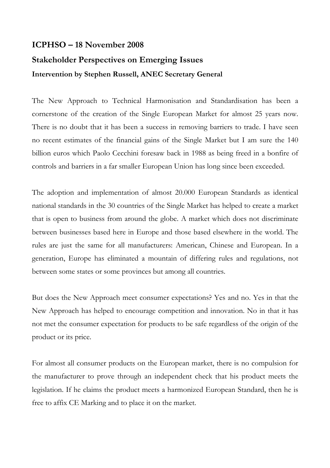## **ICPHSO – 18 November 2008 Stakeholder Perspectives on Emerging Issues Intervention by Stephen Russell, ANEC Secretary General**

The New Approach to Technical Harmonisation and Standardisation has been a cornerstone of the creation of the Single European Market for almost 25 years now. There is no doubt that it has been a success in removing barriers to trade. I have seen no recent estimates of the financial gains of the Single Market but I am sure the 140 billion euros which Paolo Cecchini foresaw back in 1988 as being freed in a bonfire of controls and barriers in a far smaller European Union has long since been exceeded.

The adoption and implementation of almost 20.000 European Standards as identical national standards in the 30 countries of the Single Market has helped to create a market that is open to business from around the globe. A market which does not discriminate between businesses based here in Europe and those based elsewhere in the world. The rules are just the same for all manufacturers: American, Chinese and European. In a generation, Europe has eliminated a mountain of differing rules and regulations, not between some states or some provinces but among all countries.

But does the New Approach meet consumer expectations? Yes and no. Yes in that the New Approach has helped to encourage competition and innovation. No in that it has not met the consumer expectation for products to be safe regardless of the origin of the product or its price.

For almost all consumer products on the European market, there is no compulsion for the manufacturer to prove through an independent check that his product meets the legislation. If he claims the product meets a harmonized European Standard, then he is free to affix CE Marking and to place it on the market.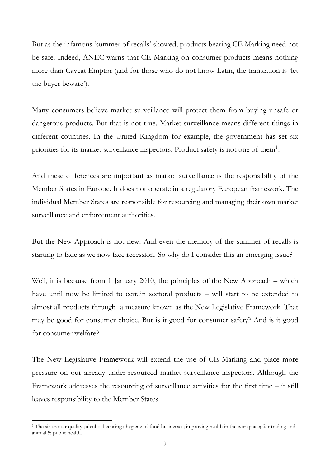But as the infamous 'summer of recalls' showed, products bearing CE Marking need not be safe. Indeed, ANEC warns that CE Marking on consumer products means nothing more than Caveat Emptor (and for those who do not know Latin, the translation is 'let the buyer beware').

Many consumers believe market surveillance will protect them from buying unsafe or dangerous products. But that is not true. Market surveillance means different things in different countries. In the United Kingdom for example, the government has set six priorities for its market surveillance inspectors. Product safety is not one of them<sup>[1](#page-1-0)</sup>.

And these differences are important as market surveillance is the responsibility of the Member States in Europe. It does not operate in a regulatory European framework. The individual Member States are responsible for resourcing and managing their own market surveillance and enforcement authorities.

But the New Approach is not new. And even the memory of the summer of recalls is starting to fade as we now face recession. So why do I consider this an emerging issue?

Well, it is because from 1 January 2010, the principles of the New Approach – which have until now be limited to certain sectoral products – will start to be extended to almost all products through a measure known as the New Legislative Framework. That may be good for consumer choice. But is it good for consumer safety? And is it good for consumer welfare?

The New Legislative Framework will extend the use of CE Marking and place more pressure on our already under-resourced market surveillance inspectors. Although the Framework addresses the resourcing of surveillance activities for the first time – it still leaves responsibility to the Member States.

<span id="page-1-0"></span><sup>&</sup>lt;sup>1</sup> The six are: air quality ; alcohol licensing ; hygiene of food businesses; improving health in the workplace; fair trading and animal & public health.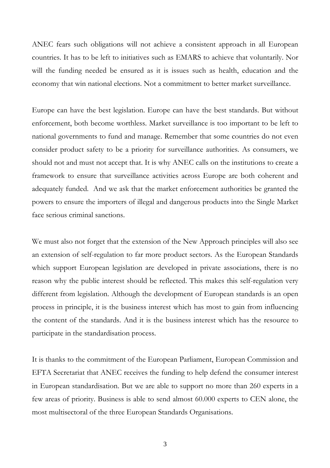ANEC fears such obligations will not achieve a consistent approach in all European countries. It has to be left to initiatives such as EMARS to achieve that voluntarily. Nor will the funding needed be ensured as it is issues such as health, education and the economy that win national elections. Not a commitment to better market surveillance.

Europe can have the best legislation. Europe can have the best standards. But without enforcement, both become worthless. Market surveillance is too important to be left to national governments to fund and manage. Remember that some countries do not even consider product safety to be a priority for surveillance authorities. As consumers, we should not and must not accept that. It is why ANEC calls on the institutions to create a framework to ensure that surveillance activities across Europe are both coherent and adequately funded. And we ask that the market enforcement authorities be granted the powers to ensure the importers of illegal and dangerous products into the Single Market face serious criminal sanctions.

We must also not forget that the extension of the New Approach principles will also see an extension of self-regulation to far more product sectors. As the European Standards which support European legislation are developed in private associations, there is no reason why the public interest should be reflected. This makes this self-regulation very different from legislation. Although the development of European standards is an open process in principle, it is the business interest which has most to gain from influencing the content of the standards. And it is the business interest which has the resource to participate in the standardisation process.

It is thanks to the commitment of the European Parliament, European Commission and EFTA Secretariat that ANEC receives the funding to help defend the consumer interest in European standardisation. But we are able to support no more than 260 experts in a few areas of priority. Business is able to send almost 60.000 experts to CEN alone, the most multisectoral of the three European Standards Organisations.